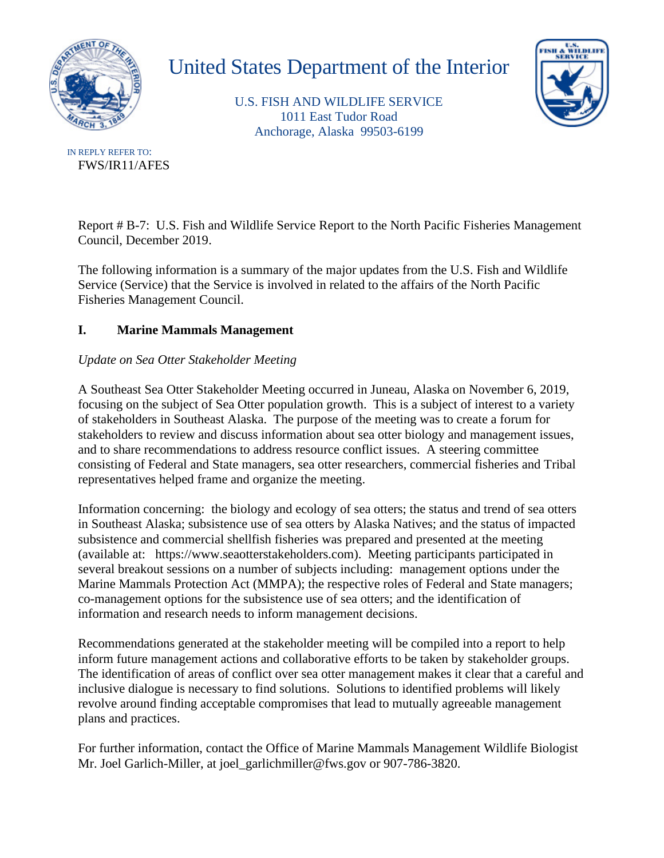

# United States Department of the Interior

U.S. FISH AND WILDLIFE SERVICE 1011 East Tudor Road Anchorage, Alaska 99503-6199



FWS/IR11/AFES IN REPLY REFER TO:

> Report # B-7: U.S. Fish and Wildlife Service Report to the North Pacific Fisheries Management Council, December 2019.

The following information is a summary of the major updates from the U.S. Fish and Wildlife Service (Service) that the Service is involved in related to the affairs of the North Pacific Fisheries Management Council.

## **I. Marine Mammals Management**

## *Update on Sea Otter Stakeholder Meeting*

A Southeast Sea Otter Stakeholder Meeting occurred in Juneau, Alaska on November 6, 2019, focusing on the subject of Sea Otter population growth. This is a subject of interest to a variety of stakeholders in Southeast Alaska. The purpose of the meeting was to create a forum for stakeholders to review and discuss information about sea otter biology and management issues, and to share recommendations to address resource conflict issues. A steering committee consisting of Federal and State managers, sea otter researchers, commercial fisheries and Tribal representatives helped frame and organize the meeting.

Information concerning: the biology and ecology of sea otters; the status and trend of sea otters in Southeast Alaska; subsistence use of sea otters by Alaska Natives; and the status of impacted subsistence and commercial shellfish fisheries was prepared and presented at the meeting (available at: https://www.seaotterstakeholders.com). Meeting participants participated in several breakout sessions on a number of subjects including: management options under the Marine Mammals Protection Act (MMPA); the respective roles of Federal and State managers; co-management options for the subsistence use of sea otters; and the identification of information and research needs to inform management decisions.

Recommendations generated at the stakeholder meeting will be compiled into a report to help inform future management actions and collaborative efforts to be taken by stakeholder groups. The identification of areas of conflict over sea otter management makes it clear that a careful and inclusive dialogue is necessary to find solutions. Solutions to identified problems will likely revolve around finding acceptable compromises that lead to mutually agreeable management plans and practices.

For further information, contact the Office of Marine Mammals Management Wildlife Biologist Mr. Joel Garlich-Miller, at joel\_garlichmiller@fws.gov or 907-786-3820.